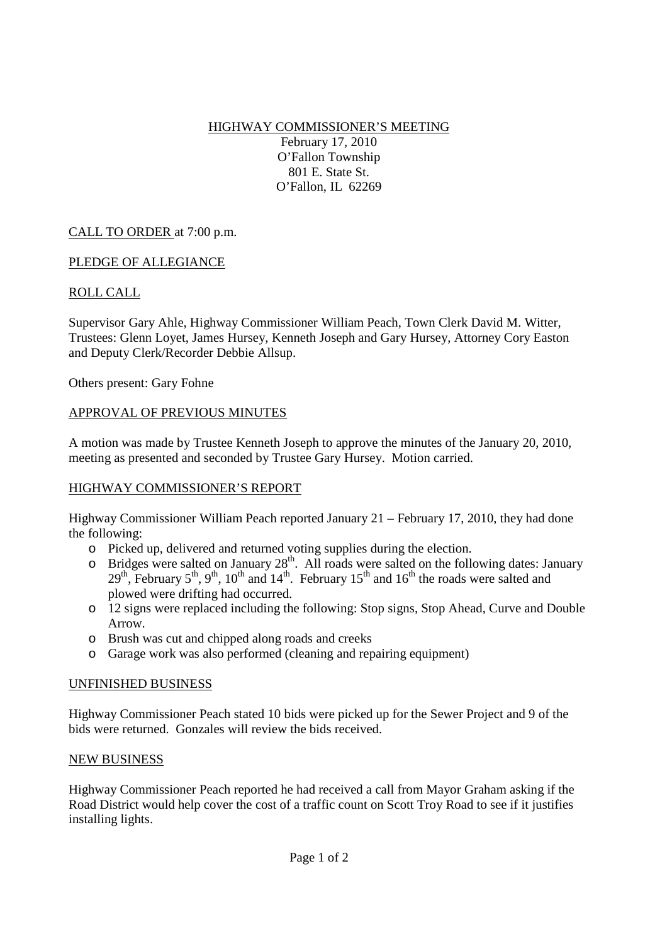HIGHWAY COMMISSIONER'S MEETING

February 17, 2010 O'Fallon Township 801 E. State St. O'Fallon, IL 62269

# CALL TO ORDER at 7:00 p.m.

## PLEDGE OF ALLEGIANCE

# ROLL CALL

Supervisor Gary Ahle, Highway Commissioner William Peach, Town Clerk David M. Witter, Trustees: Glenn Loyet, James Hursey, Kenneth Joseph and Gary Hursey, Attorney Cory Easton and Deputy Clerk/Recorder Debbie Allsup.

Others present: Gary Fohne

### APPROVAL OF PREVIOUS MINUTES

A motion was made by Trustee Kenneth Joseph to approve the minutes of the January 20, 2010, meeting as presented and seconded by Trustee Gary Hursey. Motion carried.

### HIGHWAY COMMISSIONER'S REPORT

Highway Commissioner William Peach reported January 21 – February 17, 2010, they had done the following:

- o Picked up, delivered and returned voting supplies during the election.
- $\circ$  Bridges were salted on January 28<sup>th</sup>. All roads were salted on the following dates: January  $29<sup>th</sup>$ , February 5<sup>th</sup>, 9<sup>th</sup>, 10<sup>th</sup> and 14<sup>th</sup>. February 15<sup>th</sup> and 16<sup>th</sup> the roads were salted and plowed were drifting had occurred.
- o 12 signs were replaced including the following: Stop signs, Stop Ahead, Curve and Double Arrow.
- o Brush was cut and chipped along roads and creeks
- o Garage work was also performed (cleaning and repairing equipment)

### UNFINISHED BUSINESS

Highway Commissioner Peach stated 10 bids were picked up for the Sewer Project and 9 of the bids were returned. Gonzales will review the bids received.

### NEW BUSINESS

Highway Commissioner Peach reported he had received a call from Mayor Graham asking if the Road District would help cover the cost of a traffic count on Scott Troy Road to see if it justifies installing lights.